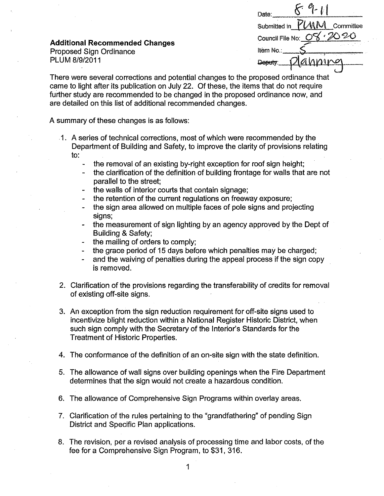| <b>Additional Recommended Changes</b><br><b>Proposed Sign Ordinance</b><br>PLUM 8/9/2011 | $\mathcal{C}_1$<br>Date:<br>Committee<br>Submitted in<br>2020<br>Council File No:<br>Item No<br>Оеви |
|------------------------------------------------------------------------------------------|------------------------------------------------------------------------------------------------------|
|                                                                                          |                                                                                                      |

There were several corrections and potential changes to the proposed ordinance that came to light after its publication on July 22. Of these, the items that do not require further study are recommended to be changed in the proposed ordinance now, and are detailed on this list of additional recommended changes.

A summary of these changes is as follows:

- 1. A series of technical corrections, most of which were recommended by the Department of Building and Safety, to improve the clarity of provisions relating  $\mathsf{to}$ :
	- the removal of an existing by-right exception for roof sign height;  $\blacksquare$
	- the clarification of the definition of building frontage for walls that are not parallel to the street:
	- the walls of interior courts that contain signage;
	- the retention of the current regulations on freeway exposure;
	- the sign area allowed on multiple faces of pole signs and projecting signs;
	- the measurement of sign lighting by an agency approved by the Dept of **Building & Safety:**
	- the mailing of orders to comply;
	- the grace period of 15 days before which penalties may be charged;
	- and the waiving of penalties during the appeal process if the sign copy is removed.
- 2. Clarification of the provisions regarding the transferability of credits for removal of existing off-site signs.
- 3. An exception from the sign reduction requirement for off-site signs used to incentivize blight reduction within a National Register Historic District, when such sign comply with the Secretary of the Interior's Standards for the Treatment of Historic Properties.
- 4. The conformance of the definition of an on-site sign with the state definition.
- 5. The allowance of wall signs over building openings when the Fire Department determines that the sign would not create a hazardous condition.
- 6. The allowance of Comprehensive Sign Programs within overlay areas.
- 7. Clarification of the rules pertaining to the "grandfathering" of pending Sign District and Specific Plan applications.
- 8. The revision, per a revised analysis of processing time and labor costs, of the fee for a Comprehensive Sign Program, to \$31, 316.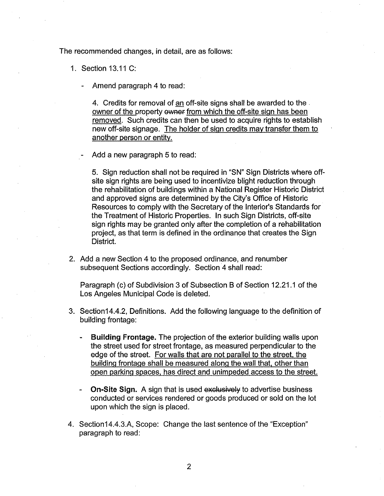The recommended changes, in detail, are as follows:

1. Section 13.11 C:

Amend paragraph 4 to read:

4. Credits for removal of an off-site signs shall be awarded to the owner of the property owner from which the off-site sign has been removed. Such credits can then be used to acquire rights to establish new off-site signage. The holder of sign credits may transfer them to another person or entity.

Add a new paragraph 5 to read:

5. Sign reduction shall not be required in "SN" Sign Districts where offsite sign rights are being used to incentivize blight reduction through the rehabilitation of buildings within a National Register Historic District and approved signs are determined by the City's Office of Historic Resources to comply with the Secretary of the Interior's Standards for the Treatment of Historic Properties. In such Sign Districts, off-site sign rights may be granted only after the completion of a rehabilitation project, as that term is defined in the ordinance that creates the Sign District.

2. Add a new Section 4 to the proposed ordinance, and renumber subsequent Sections accordingly. Section 4 shall read:

Paragraph (c) of Subdivision 3 of Subsection B of Section 12.21.1 of the Los Angeles Municipal Code is deleted.

- 3. Section14.4.2, Definitions. Add the following language to the definition of building frontage:
	- **Building Frontage.** The projection of the exterior building walls upon the street used for street frontage, as measured perpendicular to the edge of the street. For walls that are not parallel to the street. the building frontage shall be measured along the wall that. other than open parking spaces. has direct and unimpeded access to the street.
	- **On-Site Sign.** A sign that is used exclusively to advertise business conducted or services rendered or goods produced or sold on the lot upon which the sign is placed.
- 4. Section14.4.3.A, Scope: Change the last sentence of the "Exception" paragraph to read: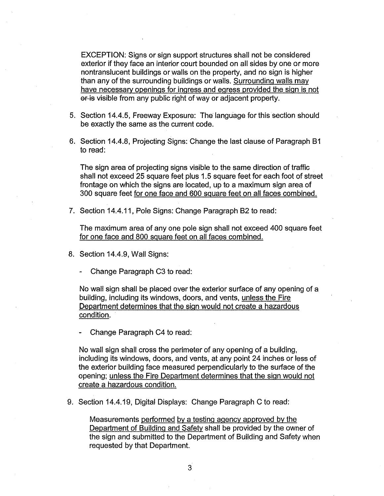EXCEPTION: Signs or sign support structures shall not be considered exterior if they face an interior court bounded on all sides by one or more nontranslucent buildings or walls on the property, and no sign is higher than any of the surrounding buildings or walls. Surrounding walls may have necessary openings for ingress and egress provided the sign is not or is visible from any public right of way or adjacent property.

- 5. Section 14.4.5, Freeway Exposure: The language for this section should be exactly the same as the current code.
- 6. Section 14.4.8, Projecting Signs: Change the last clause of Paragraph B1 to read:

The sign area of projecting signs visible to the same direction of traffic shall not exceed 25 square feet plus 1.5 square feet for each foot of street frontage on which the signs are located, up to a maximum sign area of 300 square feet for one face and 600 square feet on all faces combined.

7. Section 14.4.11, Pole Signs: Change Paragraph B2 to read:

The maximum area of any one pole sign shall not exceed 400 square feet for one face and 800 square feet on all faces combined.

- 8. Section 14.4.9, Wall Signs:
	- Change Paragraph C3 to read:

No wall sign shall be placed over the exterior surface of any opening of a building, including its windows, doors, and vents, unless the Fire Department determines that the sign would not create a hazardous condition.

- Change Paragraph C4 to read:

No wall sign shall cross the perimeter of any opening of a building, including its windows, doors, and vents, at any point 24 inches or less of the exterior building face measured perpendicularly to the surface of the opening; unless the Fire Department determines that the sign would not create a hazardous condition.

9. Section 14.4.19, Digital Displays: Change Paragraph C to read:

Measurements performed by a testing agency approved by the Department of Building and Safety shall be provided by the owner of the sign and submitted to the Department of Building and Safety when requested by that Department.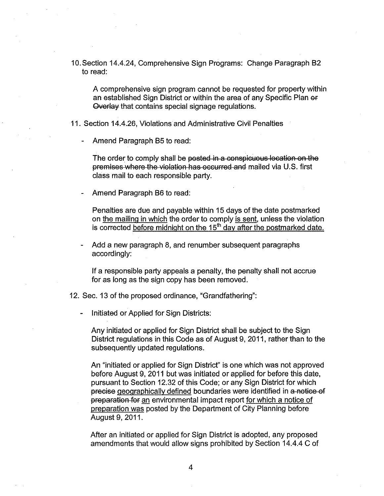10.Section 14.4.24, Comprehensive Sign Programs: Change Paragraph 82 to read:

A comprehensive sign program cannot be requested for property within an established Sign District or within the area of any Specific Plan er Overlay that contains special signage regulations.

11. Section 14.4.26, Violations and Administrative Civil Penalties

Amend Paragraph B5 to read:

The order to comply shall be posted in a conspicuous location on the premises where the violation has occurred and mailed via U.S. first class mail to each responsible party.

Amend Paragraph B6 to read:

Penalties are due and payable within 15 days of the date postmarked on the mailing in which the order to comply is sent, unless the violation is corrected before midnight on the 15<sup>th</sup> day after the postmarked date.

- Add a new paragraph 8, and renumber subsequent paragraphs accordingly:

If a responsible party appeals a penalty, the penalty shall not accrue for as long as the sign copy has been removed.

- 12. Sec. 13 of the proposed ordinance, "Grandfathering":
	- Initiated or Applied for Sign Districts:

Any initiated or applied for Sign District shall be subject to the Sign District regulations in this Code as of August 9, 2011, rather than to the subsequently updated regulations.

An "initiated or applied for Sign District" is one which was not approved before August 9, 2011 but was initiated or applied for before this date, pursuant to Section 12.32 of this Code; or any Sign District for which precise geographically defined boundaries were identified in a notice of preparation for an environmental impact report for which a notice of preparation was posted by the Department of City Planning before August 9, 2011.

After an initiated or applied for Sign District is adopted, any proposed amendments that would allow signs prohibited by Section 14.4.4 C of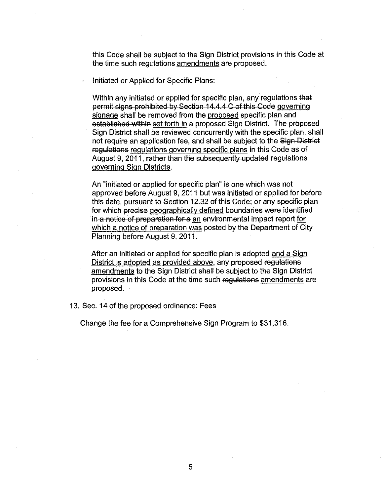this Code shall be subject to the Sign District provisions in this Code at the time such regulations amendments are proposed.

Initiated or Applied for Specific Plans:

Within any initiated or applied for specific plan, any regulations that permit signs prohibited by Section 14.4. 4 C of this Code governing signage shall be removed from the proposed specific plan and established within set forth in a proposed Sign District. The proposed Sign District shall be reviewed concurrently with the specific plan, shall not require an application fee, and shall be subject to the Sign District regulations regulations governing specific plans in this Code as of August 9, 2011, rather than the subsequently updated regulations governing Sign Districts.

An "initiated or applied for specific plan" is one which was not approved before August 9, 2011 but was initiated or applied for before this date, pursuant to Section 12.32 of this Code; or any specific plan for which precise geographically defined boundaries were identified in a notice of preparation for a an environmental impact report for which a notice of preparation was posted by the Department of City Planning before August 9, 2011.

After an initiated or applied for specific plan is adopted and a Sign District is adopted as provided above, any proposed regulations amendments to the Sign District shall be subject to the Sign District provisions in this Code at the time such regulations amendments are proposed.

13. Sec. 14 of the proposed ordinance: Fees

Change the fee for a Comprehensive Sign Program to \$31,316.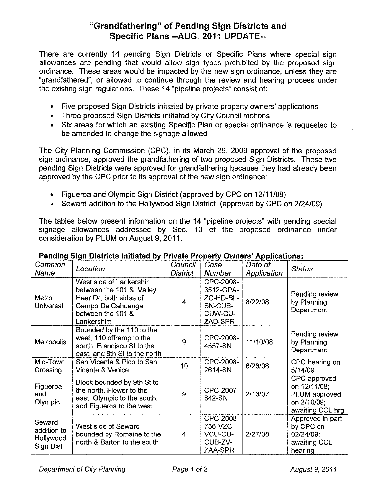## "Grandfathering" of Pending Sign Districts and Specific Plans --AUG. 2011 UPDATE--

There are currently 14 pending Sign Districts or Specific Plans where special sign allowances are pending that would allow sign types prohibited by the proposed sign ordinance. These areas would be impacted by the new sign ordinance, unless they are "grandfathered", or allowed to continue through the review and hearing process under the existing sign regulations. These 14 "pipeline projects" consist of:

- Five proposed Sign Districts initiated by private property owners' applications
- Three proposed Sign Districts initiated by City Council motions
- Six areas for which an existing Specific Plan or special ordinance is requested to be amended to change the signage allowed

The City Planning Commission (CPC), in its March 26, 2009 approval of the proposed sign ordinance, approved the grandfathering of two proposed Sign Districts. These two pending Sign Districts were approved for grandfathering because they had already been approved by the CPC prior to its approval of the new sign ordinance:

- Figueroa and Olympic Sign District (approved by CPC on 12/11/08)
- Seward addition to the Hollywood Sign District (approved by CPC on 2/24/09)

The tables below present information on the 14 "pipeline projects" with pending special signage allowances addressed by Sec. 13 of the proposed ordinance under consideration by PLUM on August 9, 2011.

| Common<br>Name                                   | Location                                                                                                                              | Council<br><b>District</b> | Case<br><b>Number</b>                                                | Date of<br>Application | <b>Status</b>                                                                    |
|--------------------------------------------------|---------------------------------------------------------------------------------------------------------------------------------------|----------------------------|----------------------------------------------------------------------|------------------------|----------------------------------------------------------------------------------|
| Metro<br>Universal                               | West side of Lankershim<br>between the 101 & Valley<br>Hear Dr; both sides of<br>Campo De Cahuenga<br>between the 101 &<br>Lankershim | 4                          | CPC-2008-<br>3512-GPA-<br>ZC-HD-BL-<br>SN-CUB-<br>CUW-CU-<br>ZAD-SPR | 8/22/08                | Pending review<br>by Planning<br>Department                                      |
| <b>Metropolis</b>                                | Bounded by the 110 to the<br>west, 110 offramp to the<br>south, Francisco St to the<br>east, and 8th St to the north                  | 9                          | CPC-2008-<br>4557-SN                                                 | 11/10/08               | Pending review<br>by Planning<br>Department                                      |
| Mid-Town<br>Crossing                             | San Vicente & Pico to San<br>Vicente & Venice                                                                                         | 10                         | CPC-2008-<br>2614-SN                                                 | 6/26/08                | CPC hearing on<br>5/14/09                                                        |
| Figueroa<br>and<br>Olympic                       | Block bounded by 9th St to<br>the north, Flower to the<br>east, Olympic to the south,<br>and Figueroa to the west                     | 9                          | CPC-2007-<br>842-SN                                                  | 2/16/07                | CPC approved<br>on 12/11/08;<br>PLUM approved<br>on 2/10/09;<br>awaiting CCL hrg |
| Seward<br>addition to<br>Hollywood<br>Sign Dist. | West side of Seward<br>bounded by Romaine to the<br>north & Barton to the south                                                       | 4                          | CPC-2008-<br>756-VZC-<br><b>VCU-CU-</b><br>CUB-ZV-<br>ZAA-SPR        | 2/27/08                | Approved in part<br>by CPC on<br>02/24/09;<br>awaiting CCL<br>hearing            |

## Pending Sign Districts Initiated by Private Property Owners' Applications: